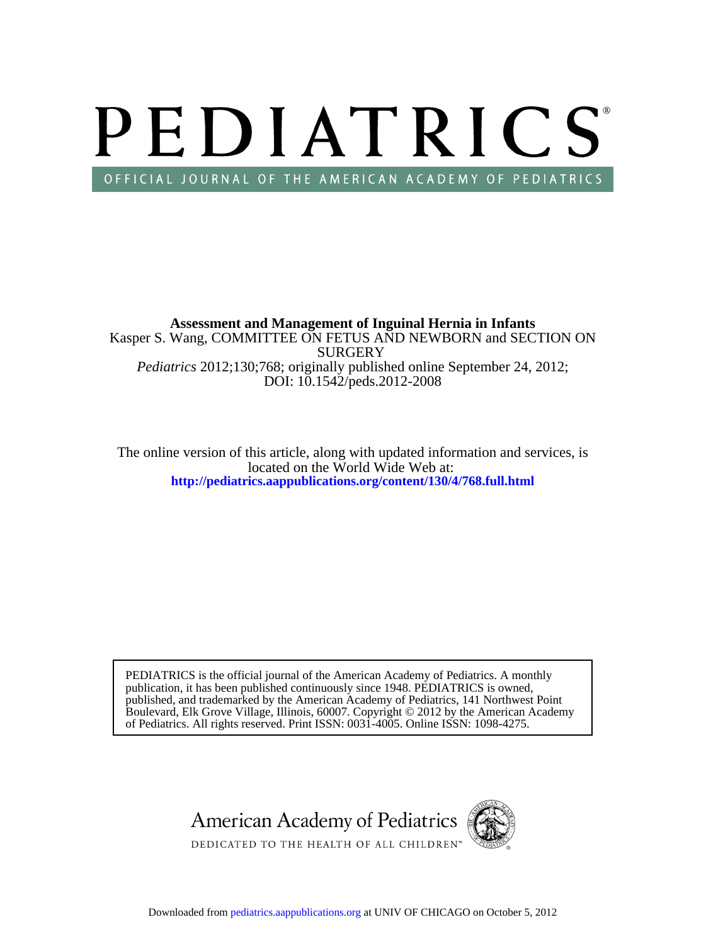# PEDIATRICS OFFICIAL JOURNAL OF THE AMERICAN ACADEMY OF PEDIATRICS

DOI: 10.1542/peds.2012-2008 *Pediatrics* 2012;130;768; originally published online September 24, 2012; **SURGERY** Kasper S. Wang, COMMITTEE ON FETUS AND NEWBORN and SECTION ON **Assessment and Management of Inguinal Hernia in Infants**

**<http://pediatrics.aappublications.org/content/130/4/768.full.html>** located on the World Wide Web at: The online version of this article, along with updated information and services, is

of Pediatrics. All rights reserved. Print ISSN: 0031-4005. Online ISSN: 1098-4275. Boulevard, Elk Grove Village, Illinois, 60007. Copyright © 2012 by the American Academy published, and trademarked by the American Academy of Pediatrics, 141 Northwest Point publication, it has been published continuously since 1948. PEDIATRICS is owned, PEDIATRICS is the official journal of the American Academy of Pediatrics. A monthly

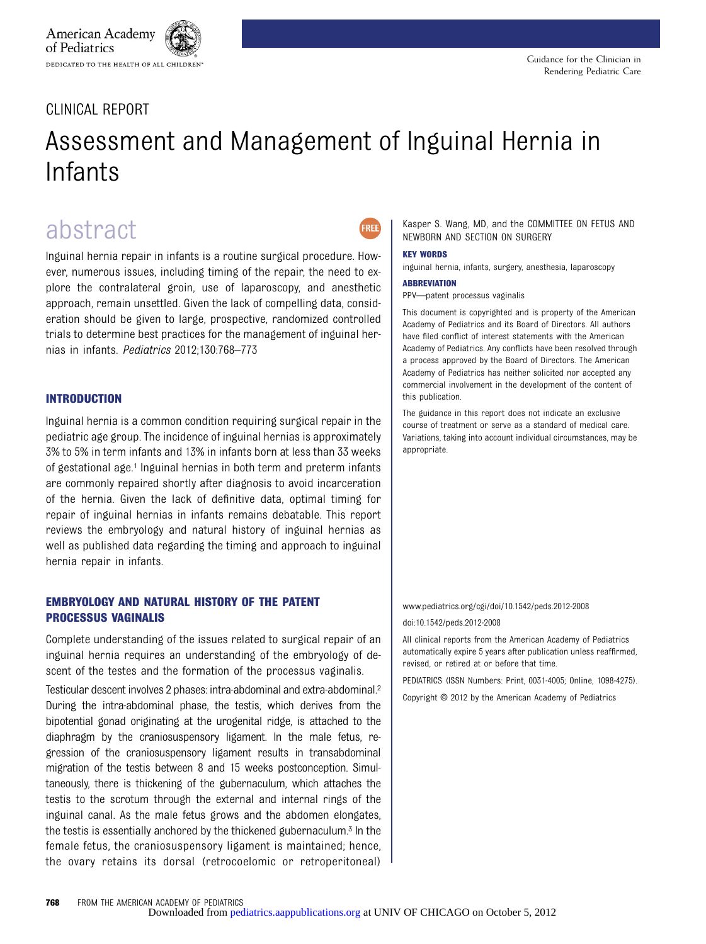# CLINICAL REPORT

# Assessment and Management of Inguinal Hernia in Infants

FRFF

# abstract

Inguinal hernia repair in infants is a routine surgical procedure. However, numerous issues, including timing of the repair, the need to explore the contralateral groin, use of laparoscopy, and anesthetic approach, remain unsettled. Given the lack of compelling data, consideration should be given to large, prospective, randomized controlled trials to determine best practices for the management of inguinal hernias in infants. Pediatrics 2012;130:768–773

### INTRODUCTION

Inguinal hernia is a common condition requiring surgical repair in the pediatric age group. The incidence of inguinal hernias is approximately 3% to 5% in term infants and 13% in infants born at less than 33 weeks of gestational age.1 Inguinal hernias in both term and preterm infants are commonly repaired shortly after diagnosis to avoid incarceration of the hernia. Given the lack of definitive data, optimal timing for repair of inguinal hernias in infants remains debatable. This report reviews the embryology and natural history of inguinal hernias as well as published data regarding the timing and approach to inguinal hernia repair in infants.

### EMBRYOLOGY AND NATURAL HISTORY OF THE PATENT PROCESSUS VAGINALIS

Complete understanding of the issues related to surgical repair of an inguinal hernia requires an understanding of the embryology of descent of the testes and the formation of the processus vaginalis.

Testicular descent involves 2 phases: intra-abdominal and extra-abdominal.2 During the intra-abdominal phase, the testis, which derives from the bipotential gonad originating at the urogenital ridge, is attached to the diaphragm by the craniosuspensory ligament. In the male fetus, regression of the craniosuspensory ligament results in transabdominal migration of the testis between 8 and 15 weeks postconception. Simultaneously, there is thickening of the gubernaculum, which attaches the testis to the scrotum through the external and internal rings of the inguinal canal. As the male fetus grows and the abdomen elongates, the testis is essentially anchored by the thickened gubernaculum.3 In the female fetus, the craniosuspensory ligament is maintained; hence, the ovary retains its dorsal (retrocoelomic or retroperitoneal)

Kasper S. Wang, MD, and the COMMITTEE ON FETUS AND NEWBORN AND SECTION ON SURGERY

#### KEY WORDS

inguinal hernia, infants, surgery, anesthesia, laparoscopy

#### **ABBREVIATION**

PPV—patent processus vaginalis

This document is copyrighted and is property of the American Academy of Pediatrics and its Board of Directors. All authors have filed conflict of interest statements with the American Academy of Pediatrics. Any conflicts have been resolved through a process approved by the Board of Directors. The American Academy of Pediatrics has neither solicited nor accepted any commercial involvement in the development of the content of this publication.

The guidance in this report does not indicate an exclusive course of treatment or serve as a standard of medical care. Variations, taking into account individual circumstances, may be appropriate.

www.pediatrics.org/cgi/doi/10.1542/peds.2012-2008 doi:10.1542/peds.2012-2008

All clinical reports from the American Academy of Pediatrics automatically expire 5 years after publication unless reaffirmed, revised, or retired at or before that time.

PEDIATRICS (ISSN Numbers: Print, 0031-4005; Online, 1098-4275).

Copyright © 2012 by the American Academy of Pediatrics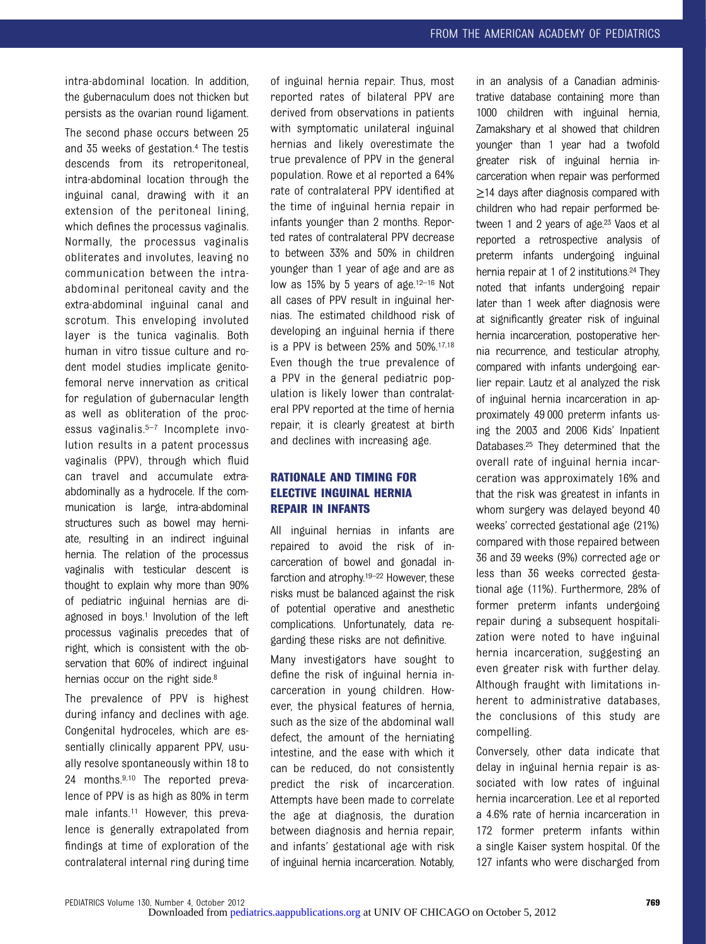intra-abdominal location. In addition, the gubernaculum does not thicken but persists as the ovarian round ligament. The second phase occurs between 25 and 35 weeks of gestation.4 The testis descends from its retroperitoneal, intra-abdominal location through the inguinal canal, drawing with it an extension of the peritoneal lining, which defines the processus vaginalis. Normally, the processus vaginalis obliterates and involutes, leaving no communication between the intraabdominal peritoneal cavity and the extra-abdominal inguinal canal and scrotum. This enveloping involuted layer is the tunica vaginalis. Both human in vitro tissue culture and rodent model studies implicate genitofemoral nerve innervation as critical for regulation of gubernacular length as well as obliteration of the processus vaginalis.5–<sup>7</sup> Incomplete involution results in a patent processus vaginalis (PPV), through which fluid can travel and accumulate extraabdominally as a hydrocele. If the communication is large, intra-abdominal structures such as bowel may herniate, resulting in an indirect inguinal hernia. The relation of the processus vaginalis with testicular descent is thought to explain why more than 90% of pediatric inguinal hernias are diagnosed in boys.<sup>1</sup> Involution of the left processus vaginalis precedes that of right, which is consistent with the observation that 60% of indirect inguinal hernias occur on the right side.<sup>8</sup>

The prevalence of PPV is highest during infancy and declines with age. Congenital hydroceles, which are essentially clinically apparent PPV, usually resolve spontaneously within 18 to 24 months.9,10 The reported prevalence of PPV is as high as 80% in term male infants.11 However, this prevalence is generally extrapolated from findings at time of exploration of the contralateral internal ring during time

of inguinal hernia repair. Thus, most reported rates of bilateral PPV are derived from observations in patients with symptomatic unilateral inguinal hernias and likely overestimate the true prevalence of PPV in the general population. Rowe et al reported a 64% rate of contralateral PPV identified at the time of inguinal hernia repair in infants younger than 2 months. Reported rates of contralateral PPV decrease to between 33% and 50% in children younger than 1 year of age and are as low as 15% by 5 years of age.12–<sup>16</sup> Not all cases of PPV result in inguinal hernias. The estimated childhood risk of developing an inguinal hernia if there is a PPV is between 25% and 50%.17,18 Even though the true prevalence of a PPV in the general pediatric population is likely lower than contralateral PPV reported at the time of hernia repair, it is clearly greatest at birth and declines with increasing age.

# RATIONALE AND TIMING FOR ELECTIVE INGUINAL HERNIA REPAIR IN INFANTS

All inguinal hernias in infants are repaired to avoid the risk of incarceration of bowel and gonadal infarction and atrophy.<sup>19–22</sup> However, these risks must be balanced against the risk of potential operative and anesthetic complications. Unfortunately, data regarding these risks are not definitive.

Many investigators have sought to define the risk of inguinal hernia incarceration in young children. However, the physical features of hernia, such as the size of the abdominal wall defect, the amount of the herniating intestine, and the ease with which it can be reduced, do not consistently predict the risk of incarceration. Attempts have been made to correlate the age at diagnosis, the duration between diagnosis and hernia repair, and infants' gestational age with risk of inguinal hernia incarceration. Notably, in an analysis of a Canadian administrative database containing more than 1000 children with inguinal hernia, Zamakshary et al showed that children younger than 1 year had a twofold greater risk of inguinal hernia incarceration when repair was performed ≥14 days after diagnosis compared with children who had repair performed between 1 and 2 years of age.<sup>23</sup> Vaos et al reported a retrospective analysis of preterm infants undergoing inguinal hernia repair at 1 of 2 institutions.<sup>24</sup> They noted that infants undergoing repair later than 1 week after diagnosis were at significantly greater risk of inguinal hernia incarceration, postoperative hernia recurrence, and testicular atrophy, compared with infants undergoing earlier repair. Lautz et al analyzed the risk of inguinal hernia incarceration in approximately 49 000 preterm infants using the 2003 and 2006 Kids' Inpatient Databases.25 They determined that the overall rate of inguinal hernia incarceration was approximately 16% and that the risk was greatest in infants in whom surgery was delayed beyond 40 weeks' corrected gestational age (21%) compared with those repaired between 36 and 39 weeks (9%) corrected age or less than 36 weeks corrected gestational age (11%). Furthermore, 28% of former preterm infants undergoing repair during a subsequent hospitalization were noted to have inguinal hernia incarceration, suggesting an even greater risk with further delay. Although fraught with limitations inherent to administrative databases, the conclusions of this study are compelling.

Conversely, other data indicate that delay in inguinal hernia repair is associated with low rates of inguinal hernia incarceration. Lee et al reported a 4.6% rate of hernia incarceration in 172 former preterm infants within a single Kaiser system hospital. Of the 127 infants who were discharged from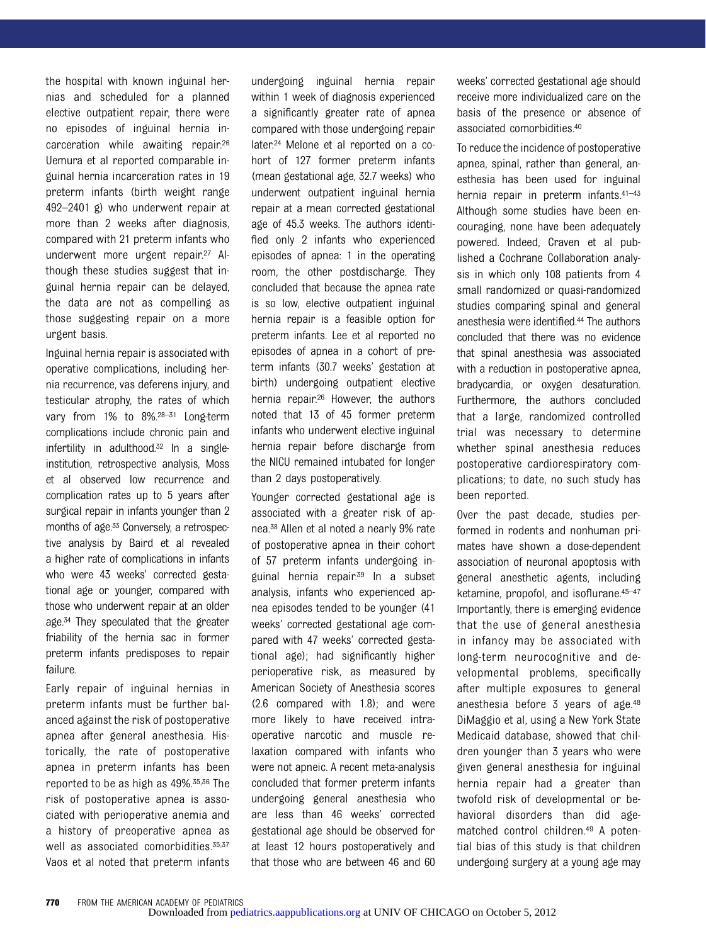the hospital with known inguinal hernias and scheduled for a planned elective outpatient repair, there were no episodes of inguinal hernia incarceration while awaiting repair.26 Uemura et al reported comparable inguinal hernia incarceration rates in 19 preterm infants (birth weight range 492–2401 g) who underwent repair at more than 2 weeks after diagnosis, compared with 21 preterm infants who underwent more urgent repair.27 Although these studies suggest that inguinal hernia repair can be delayed, the data are not as compelling as those suggesting repair on a more urgent basis.

Inguinal hernia repair is associated with operative complications, including hernia recurrence, vas deferens injury, and testicular atrophy, the rates of which vary from 1% to 8%.28–<sup>31</sup> Long-term complications include chronic pain and infertility in adulthood.<sup>32</sup> In a singleinstitution, retrospective analysis, Moss et al observed low recurrence and complication rates up to 5 years after surgical repair in infants younger than 2 months of age.33 Conversely, a retrospective analysis by Baird et al revealed a higher rate of complications in infants who were 43 weeks' corrected gestational age or younger, compared with those who underwent repair at an older age.34 They speculated that the greater friability of the hernia sac in former preterm infants predisposes to repair failure.

Early repair of inguinal hernias in preterm infants must be further balanced against the risk of postoperative apnea after general anesthesia. Historically, the rate of postoperative apnea in preterm infants has been reported to be as high as 49%.35,36 The risk of postoperative apnea is associated with perioperative anemia and a history of preoperative apnea as well as associated comorbidities. 35,37 Vaos et al noted that preterm infants

undergoing inguinal hernia repair within 1 week of diagnosis experienced a significantly greater rate of apnea compared with those undergoing repair later.24 Melone et al reported on a cohort of 127 former preterm infants (mean gestational age, 32.7 weeks) who underwent outpatient inguinal hernia repair at a mean corrected gestational age of 45.3 weeks. The authors identified only 2 infants who experienced episodes of apnea: 1 in the operating room, the other postdischarge. They concluded that because the apnea rate is so low, elective outpatient inguinal hernia repair is a feasible option for preterm infants. Lee et al reported no episodes of apnea in a cohort of preterm infants (30.7 weeks' gestation at birth) undergoing outpatient elective hernia repair.26 However, the authors noted that 13 of 45 former preterm infants who underwent elective inguinal hernia repair before discharge from the NICU remained intubated for longer than 2 days postoperatively.

Younger corrected gestational age is associated with a greater risk of apnea.38 Allen et al noted a nearly 9% rate of postoperative apnea in their cohort of 57 preterm infants undergoing inguinal hernia repair.39 In a subset analysis, infants who experienced apnea episodes tended to be younger (41 weeks' corrected gestational age compared with 47 weeks' corrected gestational age); had significantly higher perioperative risk, as measured by American Society of Anesthesia scores (2.6 compared with 1.8); and were more likely to have received intraoperative narcotic and muscle relaxation compared with infants who were not apneic. A recent meta-analysis concluded that former preterm infants undergoing general anesthesia who are less than 46 weeks' corrected gestational age should be observed for at least 12 hours postoperatively and that those who are between 46 and 60

weeks' corrected gestational age should receive more individualized care on the basis of the presence or absence of associated comorbidities.40

To reduce the incidence of postoperative apnea, spinal, rather than general, anesthesia has been used for inguinal hernia repair in preterm infants.<sup>41-43</sup> Although some studies have been encouraging, none have been adequately powered. Indeed, Craven et al published a Cochrane Collaboration analysis in which only 108 patients from 4 small randomized or quasi-randomized studies comparing spinal and general anesthesia were identified.44 The authors concluded that there was no evidence that spinal anesthesia was associated with a reduction in postoperative apnea, bradycardia, or oxygen desaturation. Furthermore, the authors concluded that a large, randomized controlled trial was necessary to determine whether spinal anesthesia reduces postoperative cardiorespiratory complications; to date, no such study has been reported.

Over the past decade, studies performed in rodents and nonhuman primates have shown a dose-dependent association of neuronal apoptosis with general anesthetic agents, including ketamine, propofol, and isoflurane.45–<sup>47</sup> Importantly, there is emerging evidence that the use of general anesthesia in infancy may be associated with long-term neurocognitive and developmental problems, specifically after multiple exposures to general anesthesia before 3 years of age.48 DiMaggio et al, using a New York State Medicaid database, showed that children younger than 3 years who were given general anesthesia for inguinal hernia repair had a greater than twofold risk of developmental or behavioral disorders than did agematched control children.49 A potential bias of this study is that children undergoing surgery at a young age may

<sup>770</sup> FROM THE AMERICAN ACADEMY OF PEDIATRICS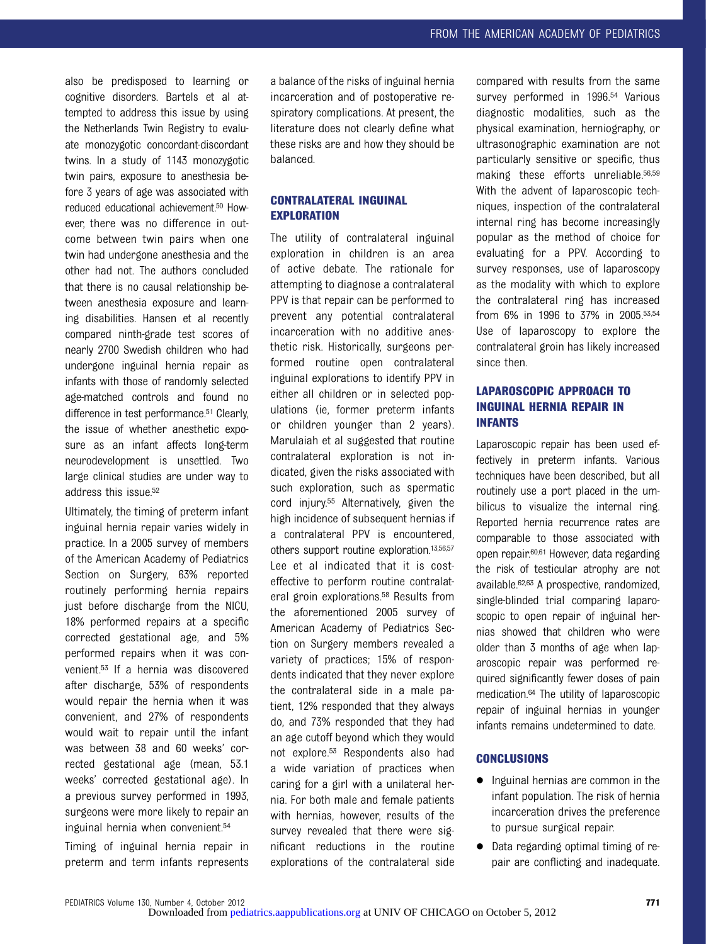also be predisposed to learning or cognitive disorders. Bartels et al attempted to address this issue by using the Netherlands Twin Registry to evaluate monozygotic concordant-discordant twins. In a study of 1143 monozygotic twin pairs, exposure to anesthesia before 3 years of age was associated with reduced educational achievement.50 However, there was no difference in outcome between twin pairs when one twin had undergone anesthesia and the other had not. The authors concluded that there is no causal relationship between anesthesia exposure and learning disabilities. Hansen et al recently compared ninth-grade test scores of nearly 2700 Swedish children who had undergone inguinal hernia repair as infants with those of randomly selected age-matched controls and found no difference in test performance.51 Clearly, the issue of whether anesthetic exposure as an infant affects long-term neurodevelopment is unsettled. Two large clinical studies are under way to address this issue.52

Ultimately, the timing of preterm infant inguinal hernia repair varies widely in practice. In a 2005 survey of members of the American Academy of Pediatrics Section on Surgery, 63% reported routinely performing hernia repairs just before discharge from the NICU. 18% performed repairs at a specific corrected gestational age, and 5% performed repairs when it was convenient.53 If a hernia was discovered after discharge, 53% of respondents would repair the hernia when it was convenient, and 27% of respondents would wait to repair until the infant was between 38 and 60 weeks' corrected gestational age (mean, 53.1 weeks' corrected gestational age). In a previous survey performed in 1993, surgeons were more likely to repair an inguinal hernia when convenient.54

Timing of inguinal hernia repair in preterm and term infants represents

a balance of the risks of inguinal hernia incarceration and of postoperative respiratory complications. At present, the literature does not clearly define what these risks are and how they should be balanced.

# CONTRALATERAL INGUINAL **EXPLORATION**

The utility of contralateral inguinal exploration in children is an area of active debate. The rationale for attempting to diagnose a contralateral PPV is that repair can be performed to prevent any potential contralateral incarceration with no additive anesthetic risk. Historically, surgeons performed routine open contralateral inguinal explorations to identify PPV in either all children or in selected populations (ie, former preterm infants or children younger than 2 years). Marulaiah et al suggested that routine contralateral exploration is not indicated, given the risks associated with such exploration, such as spermatic cord injury.55 Alternatively, given the high incidence of subsequent hernias if a contralateral PPV is encountered, others support routine exploration.13,56,57 Lee et al indicated that it is costeffective to perform routine contralateral groin explorations.58 Results from the aforementioned 2005 survey of American Academy of Pediatrics Section on Surgery members revealed a variety of practices; 15% of respondents indicated that they never explore the contralateral side in a male patient, 12% responded that they always do, and 73% responded that they had an age cutoff beyond which they would not explore.53 Respondents also had a wide variation of practices when caring for a girl with a unilateral hernia. For both male and female patients with hernias, however, results of the survey revealed that there were significant reductions in the routine explorations of the contralateral side

compared with results from the same survey performed in 1996.<sup>54</sup> Various diagnostic modalities, such as the physical examination, herniography, or ultrasonographic examination are not particularly sensitive or specific, thus making these efforts unreliable.56,59 With the advent of laparoscopic techniques, inspection of the contralateral internal ring has become increasingly popular as the method of choice for evaluating for a PPV. According to survey responses, use of laparoscopy as the modality with which to explore the contralateral ring has increased from 6% in 1996 to 37% in 2005.53,54 Use of laparoscopy to explore the contralateral groin has likely increased since then.

# LAPAROSCOPIC APPROACH TO INGUINAL HERNIA REPAIR IN INFANTS

Laparoscopic repair has been used effectively in preterm infants. Various techniques have been described, but all routinely use a port placed in the umbilicus to visualize the internal ring. Reported hernia recurrence rates are comparable to those associated with open repair.60,61 However, data regarding the risk of testicular atrophy are not available.62,63 A prospective, randomized, single-blinded trial comparing laparoscopic to open repair of inguinal hernias showed that children who were older than 3 months of age when laparoscopic repair was performed required significantly fewer doses of pain medication.64 The utility of laparoscopic repair of inguinal hernias in younger infants remains undetermined to date.

#### **CONCLUSIONS**

- Inguinal hernias are common in the infant population. The risk of hernia incarceration drives the preference to pursue surgical repair.
- Data regarding optimal timing of repair are conflicting and inadequate.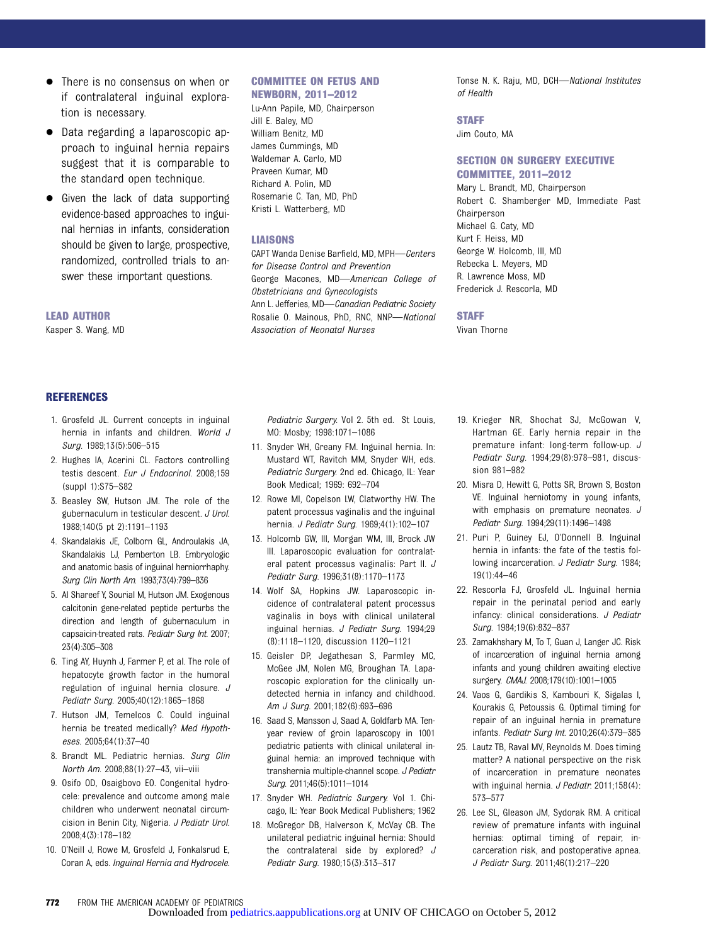- There is no consensus on when or if contralateral inguinal exploration is necessary.
- Data regarding a laparoscopic approach to inguinal hernia repairs suggest that it is comparable to the standard open technique.
- Given the lack of data supporting evidence-based approaches to inguinal hernias in infants, consideration should be given to large, prospective, randomized, controlled trials to answer these important questions.

#### LEAD AUTHOR

Kasper S. Wang, MD

#### COMMITTEE ON FETUS AND

NEWBORN, 2011–2012

Lu-Ann Papile, MD, Chairperson Jill E. Baley, MD William Benitz, MD James Cummings, MD Waldemar A. Carlo, MD Praveen Kumar, MD Richard A. Polin, MD Rosemarie C. Tan, MD, PhD Kristi L. Watterberg, MD

#### LIAISONS

CAPT Wanda Denise Barfield, MD, MPH—Centers for Disease Control and Prevention George Macones, MD—American College of Obstetricians and Gynecologists Ann L. Jefferies, MD-Canadian Pediatric Society Rosalie O. Mainous, PhD, RNC, NNP—National Association of Neonatal Nurses

Tonse N. K. Raju, MD, DCH—National Institutes of Health

#### **STAFF**

Jim Couto, MA

#### SECTION ON SURGERY EXECUTIVE COMMITTEE, 2011–2012

Mary L. Brandt, MD, Chairperson Robert C. Shamberger MD, Immediate Past Chairperson Michael G. Caty, MD Kurt F. Heiss, MD George W. Holcomb, III, MD Rebecka L. Meyers, MD R. Lawrence Moss, MD Frederick J. Rescorla, MD

#### **STAFF**

Vivan Thorne

#### REFERENCES

- 1. Grosfeld JL. Current concepts in inguinal hernia in infants and children. World J Surg. 1989;13(5):506–515
- 2. Hughes IA, Acerini CL. Factors controlling testis descent. Eur J Endocrinol. 2008;159 (suppl 1):S75–S82
- 3. Beasley SW, Hutson JM. The role of the gubernaculum in testicular descent. J Urol. 1988;140(5 pt 2):1191–1193
- 4. Skandalakis JE, Colborn GL, Androulakis JA, Skandalakis LJ, Pemberton LB. Embryologic and anatomic basis of inguinal herniorrhaphy. Surg Clin North Am. 1993;73(4):799–836
- 5. Al Shareef Y, Sourial M, Hutson JM. Exogenous calcitonin gene-related peptide perturbs the direction and length of gubernaculum in capsaicin-treated rats. Pediatr Surg Int. 2007; 23(4):305–308
- 6. Ting AY, Huynh J, Farmer P, et al. The role of hepatocyte growth factor in the humoral regulation of inguinal hernia closure. J Pediatr Surg. 2005;40(12):1865–1868
- 7. Hutson JM, Temelcos C. Could inguinal hernia be treated medically? Med Hypotheses. 2005;64(1):37–40
- 8. Brandt ML. Pediatric hernias. Surg Clin North Am. 2008;88(1):27–43, vii–viii
- 9. Osifo OD, Osaigbovo EO. Congenital hydrocele: prevalence and outcome among male children who underwent neonatal circumcision in Benin City, Nigeria. J Pediatr Urol. 2008;4(3):178–182
- 10. O'Neill J, Rowe M, Grosfeld J, Fonkalsrud E, Coran A, eds. Inguinal Hernia and Hydrocele.

Pediatric Surgery. Vol 2. 5th ed. St Louis, MO: Mosby; 1998:1071–1086

- 11. Snyder WH, Greany FM. Inguinal hernia. In: Mustard WT, Ravitch MM, Snyder WH, eds. Pediatric Surgery. 2nd ed. Chicago, IL: Year Book Medical; 1969: 692–704
- 12. Rowe MI, Copelson LW, Clatworthy HW. The patent processus vaginalis and the inguinal hernia. J Pediatr Surg. 1969;4(1):102–107
- 13. Holcomb GW, III, Morgan WM, III, Brock JW III. Laparoscopic evaluation for contralateral patent processus vaginalis: Part II. J Pediatr Surg. 1996;31(8):1170–1173
- 14. Wolf SA, Hopkins JW. Laparoscopic incidence of contralateral patent processus vaginalis in boys with clinical unilateral inguinal hernias. J Pediatr Surg. 1994;29 (8):1118–1120, discussion 1120–1121
- 15. Geisler DP, Jegathesan S, Parmley MC, McGee JM, Nolen MG, Broughan TA. Laparoscopic exploration for the clinically undetected hernia in infancy and childhood. Am J Surg. 2001;182(6):693–696
- 16. Saad S, Mansson J, Saad A, Goldfarb MA. Tenyear review of groin laparoscopy in 1001 pediatric patients with clinical unilateral inguinal hernia: an improved technique with transhernia multiple-channel scope. J Pediatr Surg. 2011;46(5):1011–1014
- 17. Snyder WH. Pediatric Surgery. Vol 1. Chicago, IL: Year Book Medical Publishers; 1962
- 18. McGregor DB, Halverson K, McVay CB. The unilateral pediatric inguinal hernia: Should the contralateral side by explored? J Pediatr Surg. 1980;15(3):313–317
- 19. Krieger NR, Shochat SJ, McGowan V, Hartman GE. Early hernia repair in the premature infant: long-term follow-up. J Pediatr Surg. 1994;29(8):978–981, discussion 981–982
- 20. Misra D, Hewitt G, Potts SR, Brown S, Boston VE. Inguinal herniotomy in young infants, with emphasis on premature neonates. J Pediatr Surg. 1994;29(11):1496–1498
- 21. Puri P, Guiney EJ, O'Donnell B. Inguinal hernia in infants: the fate of the testis following incarceration. J Pediatr Surg. 1984; 19(1):44–46
- 22. Rescorla FJ, Grosfeld JL. Inguinal hernia repair in the perinatal period and early infancy: clinical considerations. J Pediatr Surg. 1984;19(6):832–837
- 23. Zamakhshary M, To T, Guan J, Langer JC. Risk of incarceration of inguinal hernia among infants and young children awaiting elective surgery. CMAJ. 2008;179(10):1001–1005
- 24. Vaos G, Gardikis S, Kambouri K, Sigalas I, Kourakis G, Petoussis G. Optimal timing for repair of an inguinal hernia in premature infants. Pediatr Surg Int. 2010;26(4):379–385
- 25. Lautz TB, Raval MV, Reynolds M. Does timing matter? A national perspective on the risk of incarceration in premature neonates with inguinal hernia. J Pediatr. 2011;158(4): 573–577
- 26. Lee SL, Gleason JM, Sydorak RM. A critical review of premature infants with inguinal hernias: optimal timing of repair, incarceration risk, and postoperative apnea. J Pediatr Surg. 2011;46(1):217–220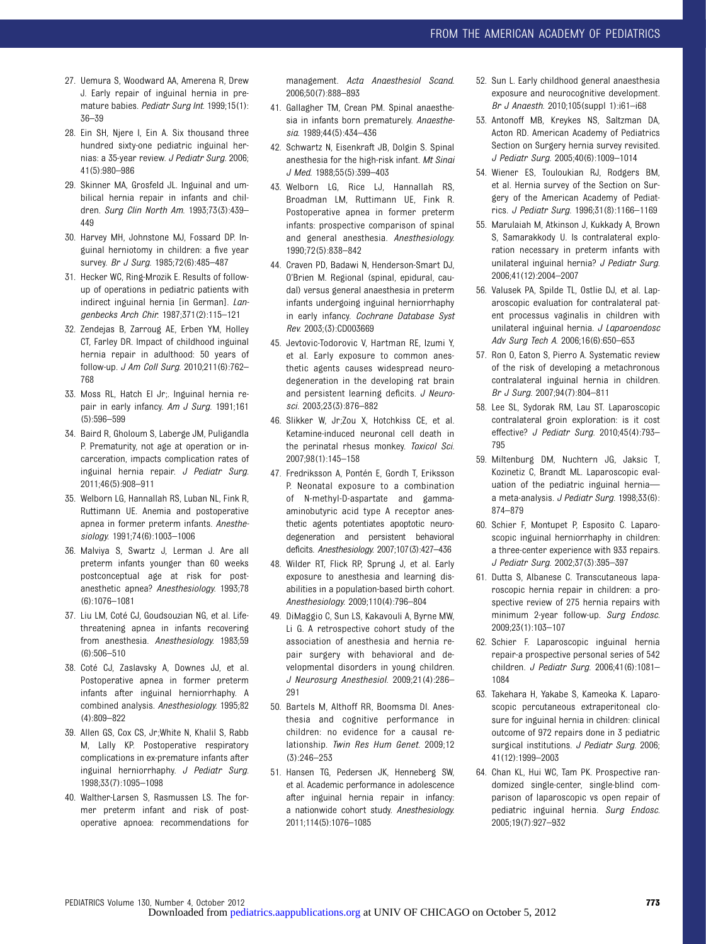- 27. Uemura S, Woodward AA, Amerena R, Drew J. Early repair of inguinal hernia in premature babies. Pediatr Surg Int. 1999;15(1): 36–39
- 28. Ein SH, Njere I, Ein A. Six thousand three hundred sixty-one pediatric inguinal hernias: a 35-year review. J Pediatr Surg. 2006; 41(5):980–986
- 29. Skinner MA, Grosfeld JL. Inguinal and umbilical hernia repair in infants and children. Surg Clin North Am. 1993;73(3):439– 449
- 30. Harvey MH, Johnstone MJ, Fossard DP. Inguinal herniotomy in children: a five year survey. Br J Surg. 1985;72(6):485-487
- 31. Hecker WC, Ring-Mrozik E. Results of followup of operations in pediatric patients with indirect inguinal hernia [in German]. Langenbecks Arch Chir. 1987;371(2):115–121
- 32. Zendejas B, Zarroug AE, Erben YM, Holley CT, Farley DR. Impact of childhood inguinal hernia repair in adulthood: 50 years of follow-up. J Am Coll Surg. 2010;211(6):762– 768
- 33. Moss RL, Hatch EI Jr;. Inguinal hernia repair in early infancy. Am J Surg. 1991;161 (5):596–599
- 34. Baird R, Gholoum S, Laberge JM, Puligandla P. Prematurity, not age at operation or incarceration, impacts complication rates of inguinal hernia repair. J Pediatr Surg. 2011;46(5):908–911
- 35. Welborn LG, Hannallah RS, Luban NL, Fink R, Ruttimann UE. Anemia and postoperative apnea in former preterm infants. Anesthesiology. 1991;74(6):1003–1006
- 36. Malviya S, Swartz J, Lerman J. Are all preterm infants younger than 60 weeks postconceptual age at risk for postanesthetic apnea? Anesthesiology. 1993;78 (6):1076–1081
- 37. Liu LM, Coté CJ, Goudsouzian NG, et al. Lifethreatening apnea in infants recovering from anesthesia. Anesthesiology. 1983;59 (6):506–510
- 38. Coté CJ, Zaslavsky A, Downes JJ, et al. Postoperative apnea in former preterm infants after inguinal herniorrhaphy. A combined analysis. Anesthesiology. 1995;82 (4):809–822
- 39. Allen GS, Cox CS, Jr;White N, Khalil S, Rabb M, Lally KP. Postoperative respiratory complications in ex-premature infants after inguinal herniorrhaphy. J Pediatr Surg. 1998;33(7):1095–1098
- 40. Walther-Larsen S, Rasmussen LS. The former preterm infant and risk of postoperative apnoea: recommendations for

management. Acta Anaesthesiol Scand. 2006;50(7):888–893

- 41. Gallagher TM, Crean PM. Spinal anaesthesia in infants born prematurely. Anaesthesia. 1989;44(5):434–436
- 42. Schwartz N, Eisenkraft JB, Dolgin S. Spinal anesthesia for the high-risk infant. Mt Sinai J Med. 1988;55(5):399–403
- 43. Welborn LG, Rice LJ, Hannallah RS, Broadman LM, Ruttimann UE, Fink R. Postoperative apnea in former preterm infants: prospective comparison of spinal and general anesthesia. Anesthesiology. 1990;72(5):838–842
- 44. Craven PD, Badawi N, Henderson-Smart DJ, O'Brien M. Regional (spinal, epidural, caudal) versus general anaesthesia in preterm infants undergoing inguinal herniorrhaphy in early infancy. Cochrane Database Syst Rev. 2003;(3):CD003669
- 45. Jevtovic-Todorovic V, Hartman RE, Izumi Y, et al. Early exposure to common anesthetic agents causes widespread neurodegeneration in the developing rat brain and persistent learning deficits. J Neurosci. 2003;23(3):876–882
- 46. Slikker W, Jr;Zou X, Hotchkiss CE, et al. Ketamine-induced neuronal cell death in the perinatal rhesus monkey. Toxicol Sci. 2007;98(1):145–158
- 47. Fredriksson A, Pontén E, Gordh T, Eriksson P. Neonatal exposure to a combination of N-methyl-D-aspartate and gammaaminobutyric acid type A receptor anesthetic agents potentiates apoptotic neurodegeneration and persistent behavioral deficits. Anesthesiology. 2007;107(3):427–436
- 48. Wilder RT, Flick RP, Sprung J, et al. Early exposure to anesthesia and learning disabilities in a population-based birth cohort. Anesthesiology. 2009;110(4):796–804
- 49. DiMaggio C, Sun LS, Kakavouli A, Byrne MW, Li G. A retrospective cohort study of the association of anesthesia and hernia repair surgery with behavioral and developmental disorders in young children. J Neurosurg Anesthesiol. 2009;21(4):286– 291
- 50. Bartels M, Althoff RR, Boomsma DI. Anesthesia and cognitive performance in children: no evidence for a causal relationship. Twin Res Hum Genet. 2009;12 (3):246–253
- 51. Hansen TG, Pedersen JK, Henneberg SW, et al. Academic performance in adolescence after inguinal hernia repair in infancy: a nationwide cohort study. Anesthesiology. 2011;114(5):1076–1085
- 52. Sun L. Early childhood general anaesthesia exposure and neurocognitive development. Br J Anaesth. 2010;105(suppl 1):i61–i68
- 53. Antonoff MB, Kreykes NS, Saltzman DA, Acton RD. American Academy of Pediatrics Section on Surgery hernia survey revisited. J Pediatr Surg. 2005;40(6):1009–1014
- 54. Wiener ES, Touloukian RJ, Rodgers BM, et al. Hernia survey of the Section on Surgery of the American Academy of Pediatrics. J Pediatr Surg. 1996;31(8):1166–1169
- 55. Marulaiah M, Atkinson J, Kukkady A, Brown S, Samarakkody U. Is contralateral exploration necessary in preterm infants with unilateral inguinal hernia? J Pediatr Surg. 2006;41(12):2004–2007
- 56. Valusek PA, Spilde TL, Ostlie DJ, et al. Laparoscopic evaluation for contralateral patent processus vaginalis in children with unilateral inguinal hernia. J Laparoendosc Adv Surg Tech A. 2006;16(6):650–653
- 57. Ron O, Eaton S, Pierro A. Systematic review of the risk of developing a metachronous contralateral inguinal hernia in children. Br J Surg. 2007;94(7):804–811
- 58. Lee SL, Sydorak RM, Lau ST. Laparoscopic contralateral groin exploration: is it cost effective? J Pediatr Surg. 2010;45(4):793– 795
- 59. Miltenburg DM, Nuchtern JG, Jaksic T, Kozinetiz C, Brandt ML. Laparoscopic evaluation of the pediatric inguinal hernia a meta-analysis. J Pediatr Surg. 1998;33(6): 874–879
- 60. Schier F, Montupet P, Esposito C. Laparoscopic inguinal herniorrhaphy in children: a three-center experience with 933 repairs. J Pediatr Surg. 2002;37(3):395–397
- 61. Dutta S, Albanese C. Transcutaneous laparoscopic hernia repair in children: a prospective review of 275 hernia repairs with minimum 2-year follow-up. Surg Endosc. 2009;23(1):103–107
- 62. Schier F. Laparoscopic inguinal hernia repair-a prospective personal series of 542 children. J Pediatr Surg. 2006;41(6):1081– 1084
- 63. Takehara H, Yakabe S, Kameoka K. Laparoscopic percutaneous extraperitoneal closure for inguinal hernia in children: clinical outcome of 972 repairs done in 3 pediatric surgical institutions. J Pediatr Surg. 2006; 41(12):1999–2003
- 64. Chan KL, Hui WC, Tam PK. Prospective randomized single-center, single-blind comparison of laparoscopic vs open repair of pediatric inguinal hernia. Surg Endosc. 2005;19(7):927–932